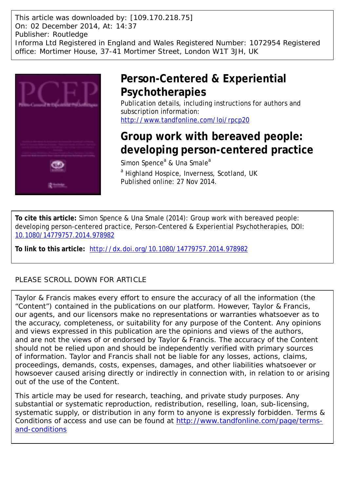This article was downloaded by: [109.170.218.75] On: 02 December 2014, At: 14:37 Publisher: Routledge Informa Ltd Registered in England and Wales Registered Number: 1072954 Registered office: Mortimer House, 37-41 Mortimer Street, London W1T 3JH, UK



# **Person-Centered & Experiential Psychotherapies**

Publication details, including instructions for authors and subscription information: <http://www.tandfonline.com/loi/rpcp20>

# **Group work with bereaved people: developing person-centered practice**

Simon Spence<sup>a</sup> & Una Smale<sup>a</sup> <sup>a</sup> Highland Hospice, Inverness, Scotland, UK Published online: 27 Nov 2014.

**To cite this article:** Simon Spence & Una Smale (2014): Group work with bereaved people: developing person-centered practice, Person-Centered & Experiential Psychotherapies, DOI: [10.1080/14779757.2014.978982](http://www.tandfonline.com/action/showCitFormats?doi=10.1080/14779757.2014.978982)

**To link to this article:** <http://dx.doi.org/10.1080/14779757.2014.978982>

# PLEASE SCROLL DOWN FOR ARTICLE

Taylor & Francis makes every effort to ensure the accuracy of all the information (the "Content") contained in the publications on our platform. However, Taylor & Francis, our agents, and our licensors make no representations or warranties whatsoever as to the accuracy, completeness, or suitability for any purpose of the Content. Any opinions and views expressed in this publication are the opinions and views of the authors, and are not the views of or endorsed by Taylor & Francis. The accuracy of the Content should not be relied upon and should be independently verified with primary sources of information. Taylor and Francis shall not be liable for any losses, actions, claims, proceedings, demands, costs, expenses, damages, and other liabilities whatsoever or howsoever caused arising directly or indirectly in connection with, in relation to or arising out of the use of the Content.

This article may be used for research, teaching, and private study purposes. Any substantial or systematic reproduction, redistribution, reselling, loan, sub-licensing, systematic supply, or distribution in any form to anyone is expressly forbidden. Terms & Conditions of access and use can be found at [http://www.tandfonline.com/page/terms](http://www.tandfonline.com/page/terms-and-conditions)[and-conditions](http://www.tandfonline.com/page/terms-and-conditions)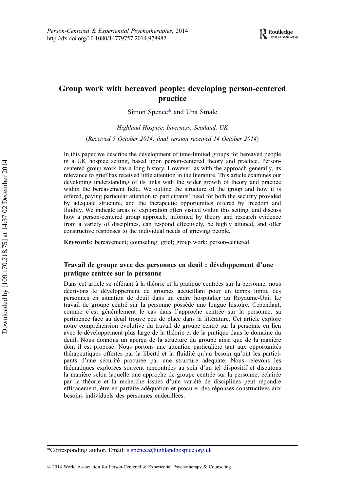# Group work with bereaved people: developing person-centered practice

Simon Spence\* and Una Smale

Highland Hospice, Inverness, Scotland, UK

(Received 5 October 2014; final version received 14 October 2014)

In this paper we describe the development of time-limited groups for bereaved people in a UK hospice setting, based upon person-centered theory and practice. Personcentered group work has a long history. However, as with the approach generally, its relevance to grief has received little attention in the literature. This article examines our developing understanding of its links with the wider growth of theory and practice within the bereavement field. We outline the structure of the group and how it is offered, paying particular attention to participants' need for both the security provided by adequate structure, and the therapeutic opportunities offered by freedom and fluidity. We indicate areas of exploration often visited within this setting, and discuss how a person-centered group approach, informed by theory and research evidence from a variety of disciplines, can respond effectively, be highly attuned, and offer constructive responses to the individual needs of grieving people.

Keywords: bereavement; counseling; grief; group work; person-centered

# Travail de groupe avec des personnes en deuil : développement d'une pratique centrée sur la personne

Dans cet article se référant à la théorie et la pratique centrées sur la personne, nous décrivons le développement de groupes accueillant pour un temps limité des personnes en situation de deuil dans un cadre hospitalier au Royaume-Uni. Le travail de groupe centré sur la personne possède une longue histoire. Cependant, comme c'est généralement le cas dans l'approche centrée sur la personne, sa pertinence face au deuil trouve peu de place dans la littérature. Cet article explore notre compréhension évolutive du travail de groupe centré sur la personne en lien avec le développement plus large de la théorie et de la pratique dans le domaine du deuil. Nous donnons un aperçu de la structure du groupe ainsi que de la manière dont il est proposé. Nous portons une attention particulière tant aux opportunités thérapeutiques offertes par la liberté et la fluidité qu'au besoin qu'ont les participants d'une sécurité procurée par une structure adéquate. Nous relevons les thématiques explorées souvent rencontrées au sein d'un tel dispositif et discutons la manière selon laquelle une approche de groupe centrée sur la personne; éclairée par la théorie et la recherche issues d'une variété de disciplines peut répondre efficacement, être en parfaite adéquation et procurer des réponses constructives aux besoins individuels des personnes endeuillées.

<sup>\*</sup>Corresponding author. Email: s.spence@highlandhospice.org.uk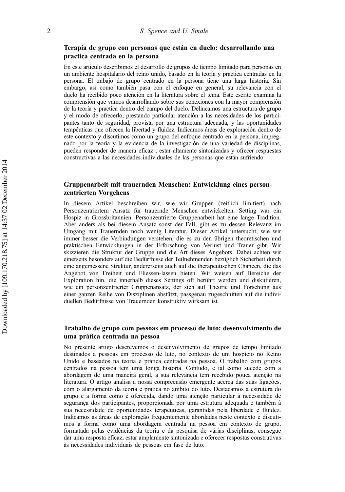# Terapia de grupo con personas que están en duelo: desarrollando una practica centrada en la persona

En este articulo describimos el desarrollo de grupos de tiempo limitado para personas en un ambiente hospitalario del reino unido, basado en la teoría y practica centradas en la persona. El trabajo de grupo centrado en la persona tiene una larga historia. Sin embargo, así como también pasa con el enfoque en general, su relevancia con el duelo ha recibido poco atención en la literatura sobre el tema. Este escrito examina la comprensión que vamos desarrollando sobre sus conexiones con la mayor comprensión de la teoría y practica dentro del campo del duelo. Delineamos una estructura de grupo y el modo de ofrecerlo, prestando particular atención a las necesidades de los participantes tanto de seguridad, provista por una estructura adecuada, y las oportunidades terapéuticas que ofrecen la libertad y fluidez. Indicamos áreas de exploración dentro de este contexto y discutimos como un grupo del enfoque centrado en la persona, impregnado por la teoría y la evidencia de la investigación de una variedad de disciplinas, pueden responder de manera eficaz , estar altamente sintonizadas y ofrecer respuestas constructivas a las necesidades individuales de las personas que están sufriendo.

# Gruppenarbeit mit trauernden Menschen: Entwicklung eines personzentrierten Vorgehens

In diesem Artikel beschreiben wir, wie wir Gruppen (zeitlich limitiert) nach Personzentriertem Ansatz für trauernde Menschen entwickelten. Setting war ein Hospiz in Grossbritannien. Personzentrierte Gruppenarbeit hat eine lange Tradition. Aber anders als bei diesem Ansatz sonst der Fall, gibt es zu dessen Relevanz im Umgang mit Trauernden noch wenig Literatur. Dieser Artikel untersucht, wie wir immer besser die Verbindungen verstehen, die es zu den übrigen theoretischen und praktischen Entwicklungen in der Erforschung von Verlust und Trauer gibt. Wir skizzieren die Struktur der Gruppe und die Art dieses Angebots. Dabei achten wir einerseits besonders auf die Bedürfnisse der Teilnehmenden bezüglich Sicherheit durch eine angemessene Struktur, andererseits auch auf die therapeutischen Chancen, die das Angebot von Freiheit und Fliessen-lassen bieten. Wir weisen auf Bereiche der Exploration hin, die innerhalb dieses Settings oft berührt werden und diskutieren, wie ein personzentrierter Gruppenansatz, der sich auf Theorie und Forschung aus einer ganzen Reihe von Disziplinen abstützt, passgenau zugeschnitten auf die individuellen Bedürfnisse von Trauernden konstruktiv wirksam ist.

# Trabalho de grupo com pessoas em processo de luto: desenvolvimento de uma prática centrada na pessoa

No presente artigo descrevemos o desenvolvimento de grupos de tempo limitado destinados a pessoas em processo de luto, no contexto de um hospício no Reino Unido e baseados na teoria e prática centradas na pessoa. O trabalho com grupos centrados na pessoa tem uma longa história. Contudo, e tal como sucede com a abordagem de uma maneira geral, a sua relevância tem recebido pouca atenção na literatura. O artigo analisa a nossa compreensão emergente acerca das suas ligações, com o alargamento da teoria e prática no âmbito do luto. Destacamos a estrutura do grupo e a forma como é oferecida, dando uma atenção particular à necessidade de segurança dos participantes, proporcionada por uma estrutura adequada e também à sua necessidade de oportunidades terapêuticas, garantidas pela liberdade e fluidez. Indicamos as áreas de exploração frequentemente abordadas neste contexto e discutimos a forma como uma abordagem centrada na pessoa em contexto de grupo, formatada pelas evidências da teoria e da pesquisa de várias disciplinas, consegue dar uma resposta eficaz, estar amplamente sintonizada e oferecer respostas construtivas às necessidades individuais de pessoas em fase de luto.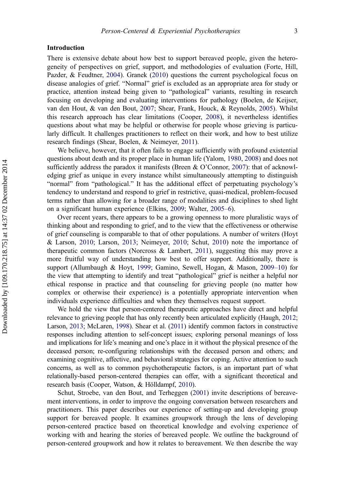#### Introduction

There is extensive debate about how best to support bereaved people, given the heterogeneity of perspectives on grief, support, and methodologies of evaluation (Forte, Hill, Pazder, & Feudtner, [2004](#page-12-0)). Granek [\(2010](#page-13-0)) questions the current psychological focus on disease analogies of grief. "Normal" grief is excluded as an appropriate area for study or practice, attention instead being given to "pathological" variants, resulting in research focusing on developing and evaluating interventions for pathology (Boelen, de Keijser, van den Hout, & van den Bout, [2007](#page-12-0); Shear, Frank, Houck, & Reynolds, [2005\)](#page-14-0). Whilst this research approach has clear limitations (Cooper, [2008](#page-12-0)), it nevertheless identifies questions about what may be helpful or otherwise for people whose grieving is particularly difficult. It challenges practitioners to reflect on their work, and how to best utilize research findings (Shear, Boelen, & Neimeyer, [2011](#page-14-0)).

We believe, however, that it often fails to engage sufficiently with profound existential questions about death and its proper place in human life (Yalom, [1980](#page-15-0), [2008](#page-15-0)) and does not sufficiently address the paradox it manifests (Breen & O'Connor, [2007\)](#page-12-0): that of acknowledging grief as unique in every instance whilst simultaneously attempting to distinguish "normal" from "pathological." It has the additional effect of perpetuating psychology's tendency to understand and respond to grief in restrictive, quasi-medical, problem-focused terms rather than allowing for a broader range of modalities and disciplines to shed light on a significant human experience (Elkins, [2009;](#page-12-0) Walter, [2005](#page-15-0)–6).

Over recent years, there appears to be a growing openness to more pluralistic ways of thinking about and responding to grief, and to the view that the effectiveness or otherwise of grief counseling is comparable to that of other populations. A number of writers (Hoyt & Larson, [2010;](#page-13-0) Larson, [2013;](#page-13-0) Neimeyer, [2010](#page-13-0); Schut, [2010\)](#page-14-0) note the importance of therapeutic common factors (Norcross  $\&$  Lambert, [2011](#page-13-0)), suggesting this may prove a more fruitful way of understanding how best to offer support. Additionally, there is support (Allumbaugh & Hoyt, [1999;](#page-12-0) Gamino, Sewell, Hogan, & Mason, [2009](#page-12-0)–10) for the view that attempting to identify and treat "pathological" grief is neither a helpful nor ethical response in practice and that counseling for grieving people (no matter how complex or otherwise their experience) is a potentially appropriate intervention when individuals experience difficulties and when they themselves request support.

We hold the view that person-centered therapeutic approaches have direct and helpful relevance to grieving people that has only recently been articulated explicitly (Haugh, [2012](#page-13-0); Larson, [2013](#page-13-0); McLaren, [1998](#page-13-0)). Shear et al. ([2011](#page-14-0)) identify common factors in constructive responses including attention to self-concept issues; exploring personal meanings of loss and implications for life's meaning and one's place in it without the physical presence of the deceased person; re-configuring relationships with the deceased person and others; and examining cognitive, affective, and behavioral strategies for coping. Active attention to such concerns, as well as to common psychotherapeutic factors, is an important part of what relationally-based person-centered therapies can offer, with a significant theoretical and research basis (Cooper, Watson, & Hölldampf, [2010\)](#page-12-0).

Schut, Stroebe, van den Bout, and Terheggen ([2001\)](#page-14-0) invite descriptions of bereavement interventions, in order to improve the ongoing conversation between researchers and practitioners. This paper describes our experience of setting-up and developing group support for bereaved people. It examines groupwork through the lens of developing person-centered practice based on theoretical knowledge and evolving experience of working with and hearing the stories of bereaved people. We outline the background of person-centered groupwork and how it relates to bereavement. We then describe the way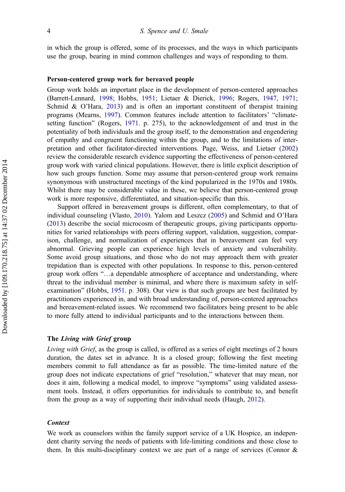in which the group is offered, some of its processes, and the ways in which participants use the group, bearing in mind common challenges and ways of responding to them.

#### Person-centered group work for bereaved people

Group work holds an important place in the development of person-centered approaches (Barrett-Lennard, [1998](#page-12-0); Hobbs, [1951;](#page-13-0) Lietaer & Dierick, [1996;](#page-13-0) Rogers, [1947,](#page-14-0) [1971](#page-14-0); Schmid & O'Hara, [2013](#page-14-0)) and is often an important constituent of therapist training programs (Mearns, [1997\)](#page-13-0). Common features include attention to facilitators' "climatesetting function" (Rogers, [1971](#page-14-0). p. 275), to the acknowledgement of and trust in the potentiality of both individuals and the group itself, to the demonstration and engendering of empathy and congruent functioning within the group, and to the limitations of interpretation and other facilitator-directed interventions. Page, Weiss, and Lietaer ([2002\)](#page-14-0) review the considerable research evidence supporting the effectiveness of person-centered group work with varied clinical populations. However, there is little explicit description of how such groups function. Some may assume that person-centered group work remains synonymous with unstructured meetings of the kind popularized in the 1970s and 1980s. Whilst there may be considerable value in these, we believe that person-centered group work is more responsive, differentiated, and situation-specific than this.

Support offered in bereavement groups is different, often complementary, to that of individual counseling (Vlasto, [2010\)](#page-14-0). Yalom and Leszcz [\(2005](#page-15-0)) and Schmid and O'Hara ([2013](#page-14-0)) describe the social microcosm of therapeutic groups, giving participants opportunities for varied relationships with peers offering support, validation, suggestion, comparison, challenge, and normalization of experiences that in bereavement can feel very abnormal. Grieving people can experience high levels of anxiety and vulnerability. Some avoid group situations, and those who do not may approach them with greater trepidation than is expected with other populations. In response to this, person-centered group work offers "…a dependable atmosphere of acceptance and understanding, where threat to the individual member is minimal, and where there is maximum safety in selfexamination" (Hobbs, [1951.](#page-13-0) p. 308). Our view is that such groups are best facilitated by practitioners experienced in, and with broad understanding of, person-centered approaches and bereavement-related issues. We recommend two facilitators being present to be able to more fully attend to individual participants and to the interactions between them.

### The Living with Grief group

Living with Grief, as the group is called, is offered as a series of eight meetings of 2 hours duration, the dates set in advance. It is a closed group; following the first meeting members commit to full attendance as far as possible. The time-limited nature of the group does not indicate expectations of grief "resolution," whatever that may mean, nor does it aim, following a medical model, to improve "symptoms" using validated assessment tools. Instead, it offers opportunities for individuals to contribute to, and benefit from the group as a way of supporting their individual needs (Haugh, [2012\)](#page-13-0).

#### **Context**

We work as counselors within the family support service of a UK Hospice, an independent charity serving the needs of patients with life-limiting conditions and those close to them. In this multi-disciplinary context we are part of a range of services (Connor &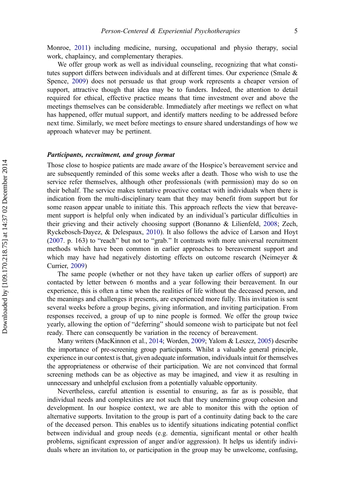Monroe, [2011](#page-12-0)) including medicine, nursing, occupational and physio therapy, social work, chaplaincy, and complementary therapies.

We offer group work as well as individual counseling, recognizing that what constitutes support differs between individuals and at different times. Our experience (Smale & Spence, [2009\)](#page-14-0) does not persuade us that group work represents a cheaper version of support, attractive though that idea may be to funders. Indeed, the attention to detail required for ethical, effective practice means that time investment over and above the meetings themselves can be considerable. Immediately after meetings we reflect on what has happened, offer mutual support, and identify matters needing to be addressed before next time. Similarly, we meet before meetings to ensure shared understandings of how we approach whatever may be pertinent.

## Participants, recruitment, and group format

Those close to hospice patients are made aware of the Hospice's bereavement service and are subsequently reminded of this some weeks after a death. Those who wish to use the service refer themselves, although other professionals (with permission) may do so on their behalf. The service makes tentative proactive contact with individuals when there is indication from the multi-disciplinary team that they may benefit from support but for some reason appear unable to initiate this. This approach reflects the view that bereavement support is helpful only when indicated by an individual's particular difficulties in their grieving and their actively choosing support (Bonanno & Lilienfeld, [2008;](#page-12-0) Zech, Ryckebosch-Dayez, & Delespaux, [2010](#page-15-0)). It also follows the advice of Larson and Hoyt ([2007](#page-13-0). p. 163) to "reach" but not to "grab." It contrasts with more universal recruitment methods which have been common in earlier approaches to bereavement support and which may have had negatively distorting effects on outcome research (Neimeyer & Currier, [2009](#page-13-0))

The same people (whether or not they have taken up earlier offers of support) are contacted by letter between 6 months and a year following their bereavement. In our experience, this is often a time when the realities of life without the deceased person, and the meanings and challenges it presents, are experienced more fully. This invitation is sent several weeks before a group begins, giving information, and inviting participation. From responses received, a group of up to nine people is formed. We offer the group twice yearly, allowing the option of "deferring" should someone wish to participate but not feel ready. There can consequently be variation in the recency of bereavement.

Many writers (MacKinnon et al., [2014;](#page-13-0) Worden, [2009](#page-15-0); Yalom & Leszcz, [2005](#page-15-0)) describe the importance of pre-screening group participants. Whilst a valuable general principle, experience in our context is that, given adequate information, individuals intuit for themselves the appropriateness or otherwise of their participation. We are not convinced that formal screening methods can be as objective as may be imagined, and view it as resulting in unnecessary and unhelpful exclusion from a potentially valuable opportunity.

Nevertheless, careful attention is essential to ensuring, as far as is possible, that individual needs and complexities are not such that they undermine group cohesion and development. In our hospice context, we are able to monitor this with the option of alternative supports. Invitation to the group is part of a continuity dating back to the care of the deceased person. This enables us to identify situations indicating potential conflict between individual and group needs (e.g. dementia, significant mental or other health problems, significant expression of anger and/or aggression). It helps us identify individuals where an invitation to, or participation in the group may be unwelcome, confusing,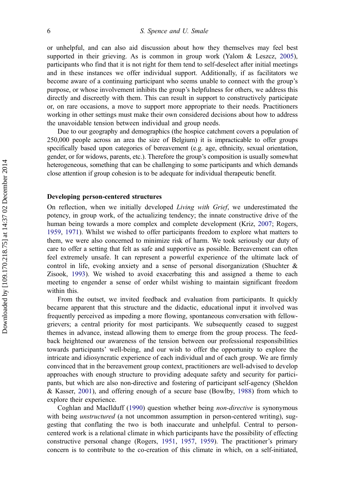or unhelpful, and can also aid discussion about how they themselves may feel best supported in their grieving. As is common in group work (Yalom & Leszcz, [2005](#page-15-0)), participants who find that it is not right for them tend to self-deselect after initial meetings and in these instances we offer individual support. Additionally, if as facilitators we become aware of a continuing participant who seems unable to connect with the group's purpose, or whose involvement inhibits the group's helpfulness for others, we address this directly and discreetly with them. This can result in support to constructively participate or, on rare occasions, a move to support more appropriate to their needs. Practitioners working in other settings must make their own considered decisions about how to address the unavoidable tension between individual and group needs.

Due to our geography and demographics (the hospice catchment covers a population of 250,000 people across an area the size of Belgium) it is impracticable to offer groups specifically based upon categories of bereavement (e.g. age, ethnicity, sexual orientation, gender, or for widows, parents, etc.). Therefore the group's composition is usually somewhat heterogeneous, something that can be challenging to some participants and which demands close attention if group cohesion is to be adequate for individual therapeutic benefit.

#### Developing person-centered structures

On reflection, when we initially developed Living with Grief, we underestimated the potency, in group work, of the actualizing tendency; the innate constructive drive of the human being towards a more complex and complete development (Kriz, [2007;](#page-13-0) Rogers, [1959](#page-14-0), [1971](#page-14-0)). Whilst we wished to offer participants freedom to explore what matters to them, we were also concerned to minimize risk of harm. We took seriously our duty of care to offer a setting that felt as safe and supportive as possible. Bereavement can often feel extremely unsafe. It can represent a powerful experience of the ultimate lack of control in life, evoking anxiety and a sense of personal disorganization (Shuchter & Zisook, [1993](#page-14-0)). We wished to avoid exacerbating this and assigned a theme to each meeting to engender a sense of order whilst wishing to maintain significant freedom within this.

From the outset, we invited feedback and evaluation from participants. It quickly became apparent that this structure and the didactic, educational input it involved was frequently perceived as impeding a more flowing, spontaneous conversation with fellowgrievers; a central priority for most participants. We subsequently ceased to suggest themes in advance, instead allowing them to emerge from the group process. The feedback heightened our awareness of the tension between our professional responsibilities towards participants' well-being, and our wish to offer the opportunity to explore the intricate and idiosyncratic experience of each individual and of each group. We are firmly convinced that in the bereavement group context, practitioners are well-advised to develop approaches with enough structure to providing adequate safety and security for participants, but which are also non-directive and fostering of participant self-agency (Sheldon & Kasser, [2001\)](#page-14-0), and offering enough of a secure base (Bowlby, [1988\)](#page-12-0) from which to explore their experience.

Coghlan and MacIlduff [\(1990](#page-12-0)) question whether being non-directive is synonymous with being *unstructured* (a not uncommon assumption in person-centered writing), suggesting that conflating the two is both inaccurate and unhelpful. Central to personcentered work is a relational climate in which participants have the possibility of effecting constructive personal change (Rogers, [1951](#page-14-0), [1957,](#page-14-0) [1959](#page-14-0)). The practitioner's primary concern is to contribute to the co-creation of this climate in which, on a self-initiated,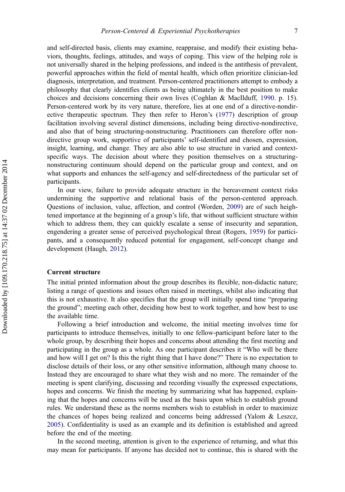and self-directed basis, clients may examine, reappraise, and modify their existing behaviors, thoughts, feelings, attitudes, and ways of coping. This view of the helping role is not universally shared in the helping professions, and indeed is the antithesis of prevalent, powerful approaches within the field of mental health, which often prioritize clinician-led diagnosis, interpretation, and treatment. Person-centered practitioners attempt to embody a philosophy that clearly identifies clients as being ultimately in the best position to make choices and decisions concerning their own lives (Coghlan & MacIlduff, [1990](#page-12-0). p. 15). Person-centered work by its very nature, therefore, lies at one end of a directive-nondirective therapeutic spectrum. They then refer to Heron's [\(1977](#page-13-0)) description of group facilitation involving several distinct dimensions, including being directive-nondirective, and also that of being structuring-nonstructuring. Practitioners can therefore offer nondirective group work, supportive of participants' self-identified and chosen, expression, insight, learning, and change. They are also able to use structure in varied and contextspecific ways. The decision about where they position themselves on a structuringnonstructuring continuum should depend on the particular group and context, and on what supports and enhances the self-agency and self-directedness of the particular set of participants.

In our view, failure to provide adequate structure in the bereavement context risks undermining the supportive and relational basis of the person-centered approach. Questions of inclusion, value, affection, and control (Worden, [2009](#page-15-0)) are of such heightened importance at the beginning of a group's life, that without sufficient structure within which to address them, they can quickly escalate a sense of insecurity and separation, engendering a greater sense of perceived psychological threat (Rogers, [1959](#page-14-0)) for participants, and a consequently reduced potential for engagement, self-concept change and development (Haugh, [2012](#page-13-0)).

#### Current structure

The initial printed information about the group describes its flexible, non-didactic nature; listing a range of questions and issues often raised in meetings, whilst also indicating that this is not exhaustive. It also specifies that the group will initially spend time "preparing the ground"; meeting each other, deciding how best to work together, and how best to use the available time.

Following a brief introduction and welcome, the initial meeting involves time for participants to introduce themselves, initially to one fellow-participant before later to the whole group, by describing their hopes and concerns about attending the first meeting and participating in the group as a whole. As one participant describes it "Who will be there and how will I get on? Is this the right thing that I have done?" There is no expectation to disclose details of their loss, or any other sensitive information, although many choose to. Instead they are encouraged to share what they wish and no more. The remainder of the meeting is spent clarifying, discussing and recording visually the expressed expectations, hopes and concerns. We finish the meeting by summarizing what has happened, explaining that the hopes and concerns will be used as the basis upon which to establish ground rules. We understand these as the norms members wish to establish in order to maximize the chances of hopes being realized and concerns being addressed (Yalom & Leszcz, [2005](#page-15-0)). Confidentiality is used as an example and its definition is established and agreed before the end of the meeting.

In the second meeting, attention is given to the experience of returning, and what this may mean for participants. If anyone has decided not to continue, this is shared with the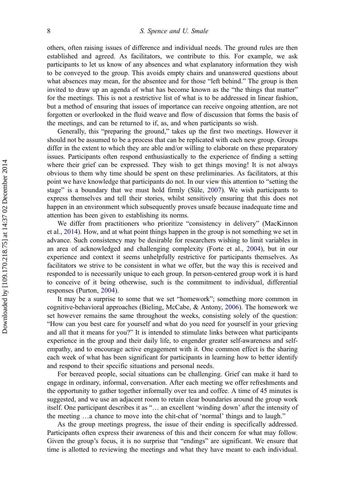others, often raising issues of difference and individual needs. The ground rules are then established and agreed. As facilitators, we contribute to this. For example, we ask participants to let us know of any absences and what explanatory information they wish to be conveyed to the group. This avoids empty chairs and unanswered questions about what absences may mean, for the absentee and for those "left behind." The group is then invited to draw up an agenda of what has become known as the "the things that matter" for the meetings. This is not a restrictive list of what is to be addressed in linear fashion, but a method of ensuring that issues of importance can receive ongoing attention, are not forgotten or overlooked in the fluid weave and flow of discussion that forms the basis of the meetings, and can be returned to if, as, and when participants so wish.

Generally, this "preparing the ground," takes up the first two meetings. However it should not be assumed to be a process that can be replicated with each new group. Groups differ in the extent to which they are able and/or willing to elaborate on these preparatory issues. Participants often respond enthusiastically to the experience of finding a setting where their grief can be expressed. They wish to get things moving! It is not always obvious to them why time should be spent on these preliminaries. As facilitators, at this point we have knowledge that participants do not. In our view this attention to "setting the stage" is a boundary that we must hold firmly (Süle, [2007\)](#page-14-0). We wish participants to express themselves and tell their stories, whilst sensitively ensuring that this does not happen in an environment which subsequently proves unsafe because inadequate time and attention has been given to establishing its norms.

We differ from practitioners who prioritize "consistency in delivery" (MacKinnon et al., [2014](#page-13-0)). How, and at what point things happen in the group is not something we set in advance. Such consistency may be desirable for researchers wishing to limit variables in an area of acknowledged and challenging complexity (Forte et al., [2004\)](#page-12-0), but in our experience and context it seems unhelpfully restrictive for participants themselves. As facilitators we strive to be consistent in what we offer, but the way this is received and responded to is necessarily unique to each group. In person-centered group work it is hard to conceive of it being otherwise, such is the commitment to individual, differential responses (Purton, [2004](#page-14-0)).

It may be a surprise to some that we set "homework"; something more common in cognitive-behavioral approaches (Bieling, McCabe, & Antony, [2006\)](#page-12-0). The homework we set however remains the same throughout the weeks, consisting solely of the question: "How can you best care for yourself and what do you need for yourself in your grieving and all that it means for you?" It is intended to stimulate links between what participants experience in the group and their daily life, to engender greater self-awareness and selfempathy, and to encourage active engagement with it. One common effect is the sharing each week of what has been significant for participants in learning how to better identify and respond to their specific situations and personal needs.

For bereaved people, social situations can be challenging. Grief can make it hard to engage in ordinary, informal, conversation. After each meeting we offer refreshments and the opportunity to gather together informally over tea and coffee. A time of 45 minutes is suggested, and we use an adjacent room to retain clear boundaries around the group work itself. One participant describes it as "… an excellent 'winding down' after the intensity of the meeting …a chance to move into the chit-chat of 'normal' things and to laugh."

As the group meetings progress, the issue of their ending is specifically addressed. Participants often express their awareness of this and their concern for what may follow. Given the group's focus, it is no surprise that "endings" are significant. We ensure that time is allotted to reviewing the meetings and what they have meant to each individual.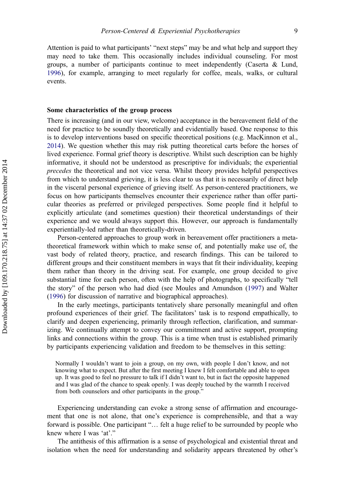Attention is paid to what participants' "next steps" may be and what help and support they may need to take them. This occasionally includes individual counseling. For most groups, a number of participants continue to meet independently (Caserta & Lund, [1996](#page-12-0)), for example, arranging to meet regularly for coffee, meals, walks, or cultural events.

### Some characteristics of the group process

There is increasing (and in our view, welcome) acceptance in the bereavement field of the need for practice to be soundly theoretically and evidentially based. One response to this is to develop interventions based on specific theoretical positions (e.g. MacKinnon et al., [2014](#page-13-0)). We question whether this may risk putting theoretical carts before the horses of lived experience. Formal grief theory is descriptive. Whilst such description can be highly informative, it should not be understood as prescriptive for individuals; the experiential precedes the theoretical and not vice versa. Whilst theory provides helpful perspectives from which to understand grieving, it is less clear to us that it is necessarily of direct help in the visceral personal experience of grieving itself. As person-centered practitioners, we focus on how participants themselves encounter their experience rather than offer particular theories as preferred or privileged perspectives. Some people find it helpful to explicitly articulate (and sometimes question) their theoretical understandings of their experience and we would always support this. However, our approach is fundamentally experientially-led rather than theoretically-driven.

Person-centered approaches to group work in bereavement offer practitioners a metatheoretical framework within which to make sense of, and potentially make use of, the vast body of related theory, practice, and research findings. This can be tailored to different groups and their constituent members in ways that fit their individuality, keeping them rather than theory in the driving seat. For example, one group decided to give substantial time for each person, often with the help of photographs, to specifically "tell the story" of the person who had died (see Moules and Amundson [\(1997](#page-13-0)) and Walter ([1996](#page-15-0)) for discussion of narrative and biographical approaches).

In the early meetings, participants tentatively share personally meaningful and often profound experiences of their grief. The facilitators' task is to respond empathically, to clarify and deepen experiencing, primarily through reflection, clarification, and summarizing. We continually attempt to convey our commitment and active support, prompting links and connections within the group. This is a time when trust is established primarily by participants experiencing validation and freedom to be themselves in this setting:

Normally I wouldn't want to join a group, on my own, with people I don't know, and not knowing what to expect. But after the first meeting I knew I felt comfortable and able to open up. It was good to feel no pressure to talk if I didn't want to, but in fact the opposite happened and I was glad of the chance to speak openly. I was deeply touched by the warmth I received from both counselors and other participants in the group."

Experiencing understanding can evoke a strong sense of affirmation and encouragement that one is not alone, that one's experience is comprehensible, and that a way forward is possible. One participant "… felt a huge relief to be surrounded by people who knew where I was 'at'."

The antithesis of this affirmation is a sense of psychological and existential threat and isolation when the need for understanding and solidarity appears threatened by other's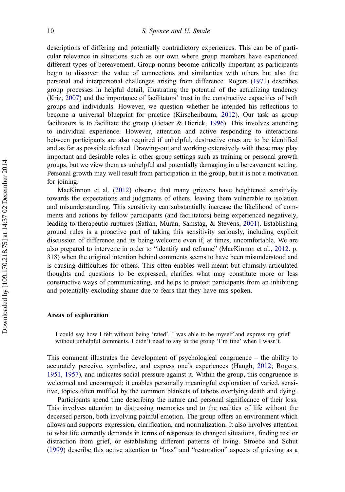descriptions of differing and potentially contradictory experiences. This can be of particular relevance in situations such as our own where group members have experienced different types of bereavement. Group norms become critically important as participants begin to discover the value of connections and similarities with others but also the personal and interpersonal challenges arising from difference. Rogers ([1971\)](#page-14-0) describes group processes in helpful detail, illustrating the potential of the actualizing tendency (Kriz, [2007](#page-13-0)) and the importance of facilitators' trust in the constructive capacities of both groups and individuals. However, we question whether he intended his reflections to become a universal blueprint for practice (Kirschenbaum, [2012\)](#page-13-0). Our task as group facilitators is to facilitate the group (Lietaer  $\&$  Dierick, [1996](#page-13-0)). This involves attending to individual experience. However, attention and active responding to interactions between participants are also required if unhelpful, destructive ones are to be identified and as far as possible defused. Drawing-out and working extensively with these may play important and desirable roles in other group settings such as training or personal growth groups, but we view them as unhelpful and potentially damaging in a bereavement setting. Personal growth may well result from participation in the group, but it is not a motivation for joining.

MacKinnon et al. ([2012\)](#page-13-0) observe that many grievers have heightened sensitivity towards the expectations and judgments of others, leaving them vulnerable to isolation and misunderstanding. This sensitivity can substantially increase the likelihood of comments and actions by fellow participants (and facilitators) being experienced negatively, leading to therapeutic ruptures (Safran, Muran, Samstag, & Stevens, [2001\)](#page-14-0). Establishing ground rules is a proactive part of taking this sensitivity seriously, including explicit discussion of difference and its being welcome even if, at times, uncomfortable. We are also prepared to intervene in order to "identify and reframe" (MacKinnon et al., [2012.](#page-13-0) p. 318) when the original intention behind comments seems to have been misunderstood and is causing difficulties for others. This often enables well-meant but clumsily articulated thoughts and questions to be expressed, clarifies what may constitute more or less constructive ways of communicating, and helps to protect participants from an inhibiting and potentially excluding shame due to fears that they have mis-spoken.

#### Areas of exploration

I could say how I felt without being 'rated'. I was able to be myself and express my grief without unhelpful comments, I didn't need to say to the group 'I'm fine' when I wasn't.

This comment illustrates the development of psychological congruence – the ability to accurately perceive, symbolize, and express one's experiences (Haugh, [2012](#page-13-0); Rogers, [1951](#page-14-0), [1957\)](#page-14-0), and indicates social pressure against it. Within the group, this congruence is welcomed and encouraged; it enables personally meaningful exploration of varied, sensitive, topics often muffled by the common blankets of taboos overlying death and dying.

Participants spend time describing the nature and personal significance of their loss. This involves attention to distressing memories and to the realities of life without the deceased person, both involving painful emotion. The group offers an environment which allows and supports expression, clarification, and normalization. It also involves attention to what life currently demands in terms of responses to changed situations, finding rest or distraction from grief, or establishing different patterns of living. Stroebe and Schut ([1999](#page-14-0)) describe this active attention to "loss" and "restoration" aspects of grieving as a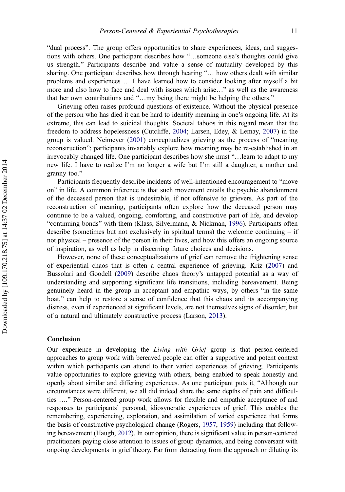"dual process". The group offers opportunities to share experiences, ideas, and suggestions with others. One participant describes how "…someone else's thoughts could give us strength." Participants describe and value a sense of mutuality developed by this sharing. One participant describes how through hearing "… how others dealt with similar problems and experiences … I have learned how to consider looking after myself a bit more and also how to face and deal with issues which arise…" as well as the awareness that her own contributions and "…my being there might be helping the others."

Grieving often raises profound questions of existence. Without the physical presence of the person who has died it can be hard to identify meaning in one's ongoing life. At its extreme, this can lead to suicidal thoughts. Societal taboos in this regard mean that the freedom to address hopelessness (Cutcliffe, [2004;](#page-12-0) Larsen, Edey, & Lemay, [2007\)](#page-13-0) in the group is valued. Neimeyer [\(2001](#page-13-0)) conceptualizes grieving as the process of "meaning reconstruction"; participants invariably explore how meaning may be re-established in an irrevocably changed life. One participant describes how she must "…learn to adapt to my new life. I have to realize I'm no longer a wife but I'm still a daughter, a mother and granny too."

Participants frequently describe incidents of well-intentioned encouragement to "move on" in life. A common inference is that such movement entails the psychic abandonment of the deceased person that is undesirable, if not offensive to grievers. As part of the reconstruction of meaning, participants often explore how the deceased person may continue to be a valued, ongoing, comforting, and constructive part of life, and develop "continuing bonds" with them (Klass, Silvermann, & Nickman, [1996](#page-13-0)). Participants often describe (sometimes but not exclusively in spiritual terms) the welcome continuing  $-$  if not physical – presence of the person in their lives, and how this offers an ongoing source of inspiration, as well as help in discerning future choices and decisions.

However, none of these conceptualizations of grief can remove the frightening sense of experiential chaos that is often a central experience of grieving. Kriz [\(2007](#page-13-0)) and Bussolari and Goodell [\(2009](#page-12-0)) describe chaos theory's untapped potential as a way of understanding and supporting significant life transitions, including bereavement. Being genuinely heard in the group in acceptant and empathic ways, by others "in the same boat," can help to restore a sense of confidence that this chaos and its accompanying distress, even if experienced at significant levels, are not themselves signs of disorder, but of a natural and ultimately constructive process (Larson, [2013\)](#page-13-0).

#### Conclusion

Our experience in developing the Living with Grief group is that person-centered approaches to group work with bereaved people can offer a supportive and potent context within which participants can attend to their varied experiences of grieving. Participants value opportunities to explore grieving with others, being enabled to speak honestly and openly about similar and differing experiences. As one participant puts it, "Although our circumstances were different, we all did indeed share the same depths of pain and difficulties …." Person-centered group work allows for flexible and empathic acceptance of and responses to participants' personal, idiosyncratic experiences of grief. This enables the remembering, experiencing, exploration, and assimilation of varied experience that forms the basis of constructive psychological change (Rogers, [1957](#page-14-0), [1959](#page-14-0)) including that following bereavement (Haugh, [2012\)](#page-13-0). In our opinion, there is significant value in person-centered practitioners paying close attention to issues of group dynamics, and being conversant with ongoing developments in grief theory. Far from detracting from the approach or diluting its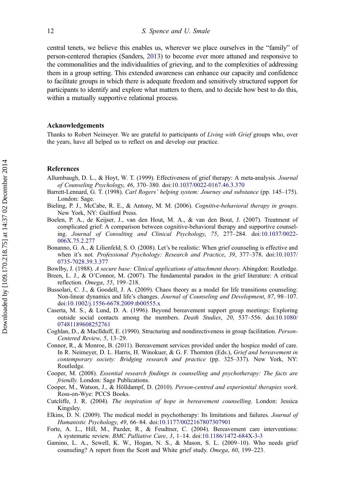<span id="page-12-0"></span>central tenets, we believe this enables us, wherever we place ourselves in the "family" of person-centered therapies (Sanders, [2013\)](#page-14-0) to become ever more attuned and responsive to the commonalities and the individualities of grieving, and to the complexities of addressing them in a group setting. This extended awareness can enhance our capacity and confidence to facilitate groups in which there is adequate freedom and sensitively structured support for participants to identify and explore what matters to them, and to decide how best to do this, within a mutually supportive relational process.

## Acknowledgements

Thanks to Robert Neimeyer. We are grateful to participants of Living with Grief groups who, over the years, have all helped us to reflect on and develop our practice.

#### References

- Allumbaugh, D. L., & Hoyt, W. T. (1999). Effectiveness of grief therapy: A meta-analysis. Journal of Counseling Psychology, 46, 370–380. doi:[10.1037/0022-0167.46.3.370](http://dx.doi.org/10.1037/0022-0167.46.3.370)
- Barrett-Lennard, G. T. (1998). Carl Rogers' helping system: Journey and substance (pp. 145–175). London: Sage.
- Bieling, P. J., McCabe, R. E., & Antony, M. M. (2006). Cognitive-behavioral therapy in groups. New York, NY: Guilford Press.
- Boelen, P. A., de Keijser, J., van den Hout, M. A., & van den Bout, J. (2007). Treatment of complicated grief: A comparison between cognitive-behavioral therapy and supportive counseling. Journal of Consulting and Clinical Psychology, 75, 277–284. doi:[10.1037/0022-](http://dx.doi.org/10.1037/0022-006X.75.2.277) [006X.75.2.277](http://dx.doi.org/10.1037/0022-006X.75.2.277)
- Bonanno, G. A., & Lilienfeld, S. O. (2008). Let's be realistic: When grief counseling is effective and when it's not. Professional Psychology: Research and Practice, 39, 377-378. doi:[10.1037/](http://dx.doi.org/10.1037/0735-7028.39.3.377) [0735-7028.39.3.377](http://dx.doi.org/10.1037/0735-7028.39.3.377)
- Bowlby, J. (1988). A secure base: Clinical applications of attachment theory. Abingdon: Routledge.
- Breen, L. J., & O'Connor, M. (2007). The fundamental paradox in the grief literature: A critical reflection. Omega, 55, 199–218.
- Bussolari, C. J., & Goodell, J. A. (2009). Chaos theory as a model for life transitions counseling: Non-linear dynamics and life's changes. Journal of Counseling and Development, 87, 98–107. doi:[10.1002/j.1556-6678.2009.tb00555.x](http://dx.doi.org/10.1002/j.1556-6678.2009.tb00555.x)
- Caserta, M. S., & Lund, D. A. (1996). Beyond bereavement support group meetings: Exploring outside social contacts among the members. Death Studies, 20, 537–556. doi:[10.1080/](http://dx.doi.org/10.1080/07481189608252761) [07481189608252761](http://dx.doi.org/10.1080/07481189608252761)
- Coghlan, D., & MacIlduff, E. (1990). Structuring and nondirectiveness in group facilitation. Person-Centered Review, 5, 13–29.
- Connor, R., & Monroe, B. (2011). Bereavement services provided under the hospice model of care. In R. Neimeyer, D. L. Harris, H. Winokuer, & G. F. Thornton (Eds.), Grief and bereavement in contemporary society: Bridging research and practice (pp. 325–337). New York, NY: Routledge.
- Cooper, M. (2008). Essential research findings in counselling and psychotherapy: The facts are friendly. London: Sage Publications.
- Cooper, M., Watson, J., & Hölldampf, D. (2010). Person-centred and experiential therapies work. Ross-on-Wye: PCCS Books.
- Cutcliffe, J. R. (2004). The inspiration of hope in bereavement counselling. London: Jessica Kingsley.
- Elkins, D. N. (2009). The medical model in psychotherapy: Its limitations and failures. Journal of Humanistic Psychology, 49, 66–84. doi:[10.1177/0022167807307901](http://dx.doi.org/10.1177/0022167807307901)
- Forte, A. L., Hill, M., Pazder, R., & Feudtner, C. (2004). Bereavement care interventions: A systematic review. BMC Palliative Care, 3, 1–14. doi:[10.1186/1472-684X-3-3](http://dx.doi.org/10.1186/1472-684X-3-3)
- Gamino, L. A., Sewell, K. W., Hogan, N. S., & Mason, S. L. (2009–10). Who needs grief counseling? A report from the Scott and White grief study. Omega, 60, 199-223.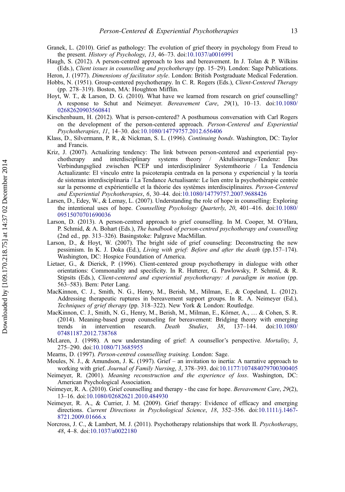- <span id="page-13-0"></span>Granek, L. (2010). Grief as pathology: The evolution of grief theory in psychology from Freud to the present. History of Psychology, 13, 46–73. doi:[10.1037/a0016991](http://dx.doi.org/10.1037/a0016991)
- Haugh, S. (2012). A person-centred approach to loss and bereavement. In J. Tolan & P. Wilkins (Eds.), *Client issues in counselling and psychotherapy* (pp. 15–29). London: Sage Publications.
- Heron, J. (1977). Dimensions of facilitator style. London: British Postgraduate Medical Federation.
- Hobbs, N. (1951). Group-centered psychotherapy. In C. R. Rogers (Eds.), Client-Centered Therapy (pp. 278–319). Boston, MA: Houghton Mifflin.
- Hoyt, W. T., & Larson, D. G. (2010). What have we learned from research on grief counselling? A response to Schut and Neimeyer. Bereavement Care, 29(1), 10–13. doi:[10.1080/](http://dx.doi.org/10.1080/02682620903560841) [02682620903560841](http://dx.doi.org/10.1080/02682620903560841)
- Kirschenbaum, H. (2012). What is person-centered? A posthumous conversation with Carl Rogers on the development of the person-centered approach. Person-Centered and Experiential Psychotherapies, 11, 14–30. doi:[10.1080/14779757.2012.656406](http://dx.doi.org/10.1080/14779757.2012.656406)
- Klass, D., Silvermann, P. R., & Nickman, S. L. (1996). Continuing bonds. Washington, DC: Taylor and Francis.
- Kriz, J. (2007). Actualizing tendency: The link between person-centered and experiential psychotherapy and interdisciplinary systems theory / Aktulisierungs-Tendenz: Das Verbindungsglied zwischen PCEP und interdisziplinärer Systemtheorie / La Tendencia Actualizante: El vínculo entre la psicoterapia centrada en la persona y experiencial y la teoría de sistemas interdisciplinaria / La Tendance Actualisante: Le lien entre la psychothérapie centrée sur la personne et expérientielle et la théorie des systèmes interdisciplinaires. Person-Centered and Experiential Psychotherapies, 6, 30–44. doi:[10.1080/14779757.2007.9688426](http://dx.doi.org/10.1080/14779757.2007.9688426)
- Larsen, D., Edey, W., & Lemay, L. (2007). Understanding the role of hope in counselling: Exploring the intentional uses of hope. Counselling Psychology Quarterly, 20, 401–416. doi:[10.1080/](http://dx.doi.org/10.1080/09515070701690036) [09515070701690036](http://dx.doi.org/10.1080/09515070701690036)
- Larson, D. (2013). A person-centred approach to grief counselling. In M. Cooper, M. O'Hara, P. Schmid, & A. Bohart (Eds.), The handbook of person-centred psychotherapy and counselling (2nd ed., pp. 313–326). Basingstoke: Palgrave MacMillan.
- Larson, D., & Hoyt, W. (2007). The bright side of grief counseling: Deconstructing the new pessimism. In K. J. Doka (Ed.), Living with grief: Before and after the death (pp.157–174). Washington, DC: Hospice Foundation of America.
- Lietaer, G., & Dierick, P. (1996). Client-centered group psychotherapy in dialogue with other orientations: Commonality and specificity. In R. Hutterer, G. Pawlowsky, P. Schmid, & R. Stipsits (Eds.), Client-centered and experiential psychotherapy: A paradigm in motion (pp. 563–583). Bern: Peter Lang.
- MacKinnon, C. J., Smith, N. G., Henry, M., Berish, M., Milman, E., & Copeland, L. (2012). Addressing therapeutic ruptures in bereavement support groups. In R. A. Neimeyer (Ed.), Techniques of grief therapy (pp. 318–322). New York & London: Routledge.
- MacKinnon, C. J., Smith, N. G., Henry, M., Berish, M., Milman, E., Körner, A., … & Cohen, S. R. (2014). Meaning-based group counseling for bereavement: Bridging theory with emerging trends in intervention research. Death Studies, 38, 137–144. doi:[10.1080/](http://dx.doi.org/10.1080/07481187.2012.738768) [07481187.2012.738768](http://dx.doi.org/10.1080/07481187.2012.738768)
- McLaren, J. (1998). A new understanding of grief: A counsellor's perspective. Mortality, 3, 275–290. doi:[10.1080/713685955](http://dx.doi.org/10.1080/713685955)
- Mearns, D. (1997). Person-centred counselling training. London: Sage.
- Moules, N. J., & Amundson, J. K. (1997). Grief an invitation to inertia: A narrative approach to working with grief. Journal of Family Nursing, 3, 378–393. doi:[10.1177/107484079700300405](http://dx.doi.org/10.1177/107484079700300405)
- Neimeyer, R. (2001). Meaning reconstruction and the experience of loss. Washington, DC: American Psychological Association.
- Neimeyer, R. A. (2010). Grief counselling and therapy the case for hope. Bereavement Care, 29(2), 13–16. doi:[10.1080/02682621.2010.484930](http://dx.doi.org/10.1080/02682621.2010.484930)
- Neimeyer, R. A., & Currier, J. M. (2009). Grief therapy: Evidence of efficacy and emerging directions. Current Directions in Psychological Science, 18, 352-356. doi:[10.1111/j.1467-](http://dx.doi.org/10.1111/j.1467-8721.2009.01666.x) [8721.2009.01666.x](http://dx.doi.org/10.1111/j.1467-8721.2009.01666.x)
- Norcross, J. C., & Lambert, M. J. (2011). Psychotherapy relationships that work II. Psychotherapy, 48, 4–8. doi:[10.1037/a0022180](http://dx.doi.org/10.1037/a0022180)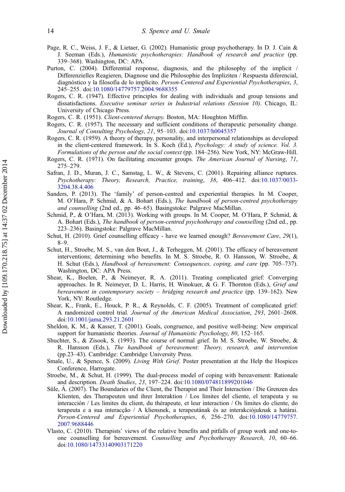- <span id="page-14-0"></span>Page, R. C., Weiss, J. F., & Lietaer, G. (2002). Humanistic group psychotherapy. In D. J. Cain & J. Seeman (Eds.), Humanistic psychotherapies: Handbook of research and practice (pp. 339–368). Washington, DC: APA.
- Purton, C. (2004). Differential response, diagnosis, and the philosophy of the implicit / Differenzielles Reagieren, Diagnose und die Philosophie des Impliziten / Respuesta diferencial, diagnóstico y la filosofía de lo implícito. Person-Centered and Experiential Psychotherapies, 3, 245–255. doi:[10.1080/14779757.2004.9688355](http://dx.doi.org/10.1080/14779757.2004.9688355)
- Rogers, C. R. (1947). Effective principles for dealing with individuals and group tensions and dissatisfactions. Executive seminar series in Industrial relations (Session 10). Chicago, IL: University of Chicago Press.
- Rogers, C. R. (1951). Client-centered therapy. Boston, MA: Houghton Mifflin.
- Rogers, C. R. (1957). The necessary and sufficient conditions of therapeutic personality change. Journal of Consulting Psychology, 21, 95–103. doi:[10.1037/h0045357](http://dx.doi.org/10.1037/h0045357)
- Rogers, C. R. (1959). A theory of therapy, personality, and interpersonal relationships as developed in the client-centered framework. In S. Koch (Ed.), Psychology: A study of science. Vol. 3. Formulations of the person and the social context (pp. 184–256). New York, NY: McGraw-Hill.
- Rogers, C. R. (1971). On facilitating encounter groups. The American Journal of Nursing, 71, 275–279.
- Safran, J. D., Muran, J. C., Samstag, L. W., & Stevens, C. (2001). Repairing alliance ruptures. Psychotherapy: Theory, Research, Practice, training, 38, 406–412. doi:[10.1037/0033-](http://dx.doi.org/10.1037/0033-3204.38.4.406) [3204.38.4.406](http://dx.doi.org/10.1037/0033-3204.38.4.406)
- Sanders, P. (2013). The 'family' of person-centred and experiential therapies. In M. Cooper, M. O'Hara, P. Schmid, & A. Bohart (Eds.), The handbook of person-centred psychotherapy and counselling (2nd ed., pp. 46–65). Basingstoke: Palgrave MacMillan.
- Schmid, P., & O'Hara, M. (2013). Working with groups. In M. Cooper, M. O'Hara, P. Schmid, & A. Bohart (Eds.), The handbook of person-centred psychotherapy and counselling (2nd ed., pp. 223–236). Basingstoke: Palgrave MacMillan.
- Schut, H. (2010). Grief counselling efficacy have we learned enough? Bereavement Care, 29(1), 8–9.
- Schut, H., Stroebe, M. S., van den Bout, J., & Terheggen, M. (2001). The efficacy of bereavement interventions; determining who benefits. In M. S. Stroebe, R. O. Hansson, W. Stroebe, & H. Schut (Eds.), Handbook of bereavement: Consequences, coping, and care (pp. 705–737). Washington, DC: APA Press.
- Shear, K., Boelen, P., & Neimeyer, R. A. (2011). Treating complicated grief: Converging approaches. In R. Neimeyer, D. L. Harris, H. Winokuer, & G. F. Thornton (Eds.), Grief and bereavement in contemporary society – bridging research and practice (pp. 139–162). New York, NY: Routledge.
- Shear, K., Frank, E., Houck, P. R., & Reynolds, C. F. (2005). Treatment of complicated grief: A randomized control trial. Journal of the American Medical Association, 293, 2601–2608. doi:[10.1001/jama.293.21.2601](http://dx.doi.org/10.1001/jama.293.21.2601)
- Sheldon, K. M., & Kasser, T. (2001). Goals, congruence, and positive well-being: New empirical support for humanistic theories. Journal of Humanistic Psychology, 80, 152–165.
- Shuchter, S., & Zisook, S. (1993). The course of normal grief. In M. S. Stroebe, W. Stroebe, & R. Hansson (Eds.), The handbook of bereavement: Theory, research, and intervention (pp.23–43). Cambridge: Cambridge University Press.
- Smale, U., & Spence, S. (2009). Living With Grief. Poster presentation at the Help the Hospices Conference, Harrogate.
- Stroebe, M., & Schut, H. (1999). The dual-process model of coping with bereavement: Rationale and description. Death Studies, 23, 197–224. doi:[10.1080/074811899201046](http://dx.doi.org/10.1080/074811899201046)
- Süle, Á. (2007). The Boundaries of the Client, the Therapist and Their Interaction / Die Grenzen des Klienten, des Therapeuten und ihrer Interaktion / Los límites del cliente, el terapeuta y su interacción / Les limites du client, du thérapeute, et leur interaction / Os limites do cliente, do terapeuta e a sua interacção / A kliensnek, a terapeutának és az interakciójuknak a határai. Person-Centered and Experiential Psychotherapies, 6, 256–270. doi:[10.1080/14779757.](http://dx.doi.org/10.1080/14779757.2007.9688446) [2007.9688446](http://dx.doi.org/10.1080/14779757.2007.9688446)
- Vlasto, C. (2010). Therapists' views of the relative benefits and pitfalls of group work and one-toone counselling for bereavement. Counselling and Psychotherapy Research, 10, 60–66. doi:[10.1080/14733140903171220](http://dx.doi.org/10.1080/14733140903171220)